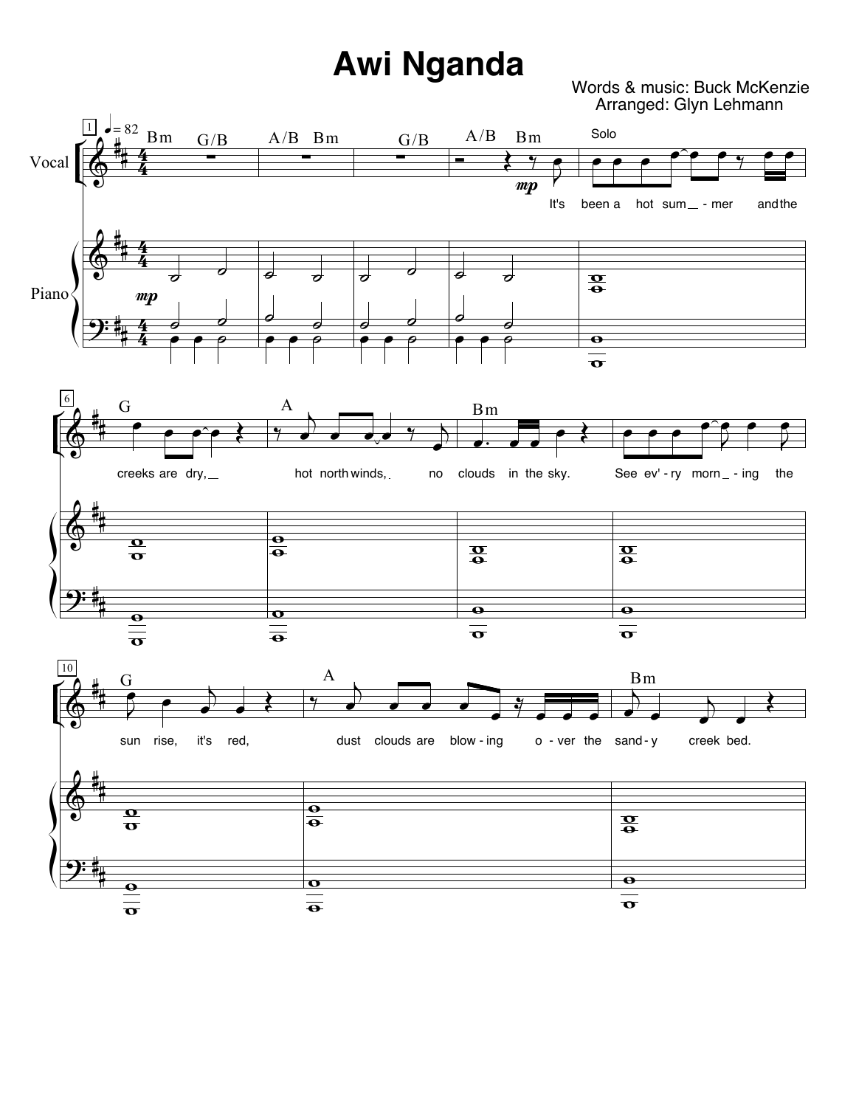## **Awi Nganda**

Words & music: Buck McKenzie Arranged: Glyn Lehmann

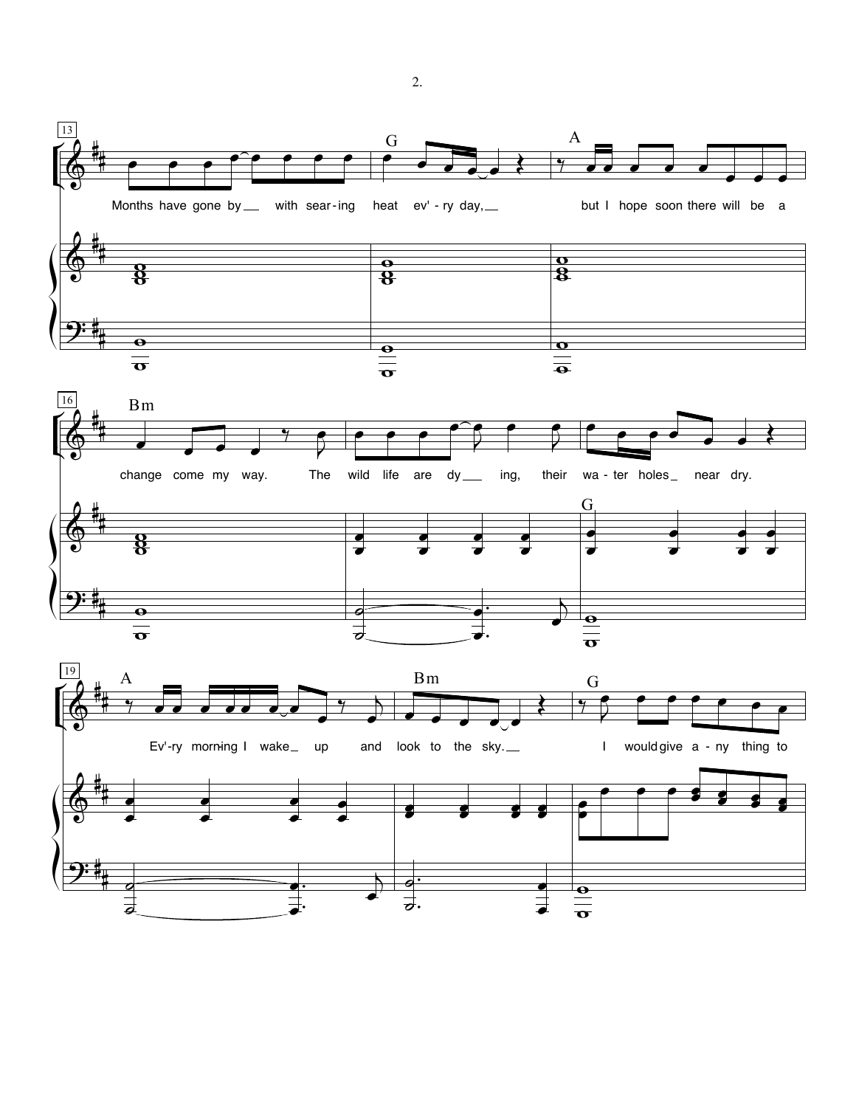

र्नु.

 $\exists$ 

 $\frac{\overline{a}}{\overline{b}}$ 

⋣

 $2.$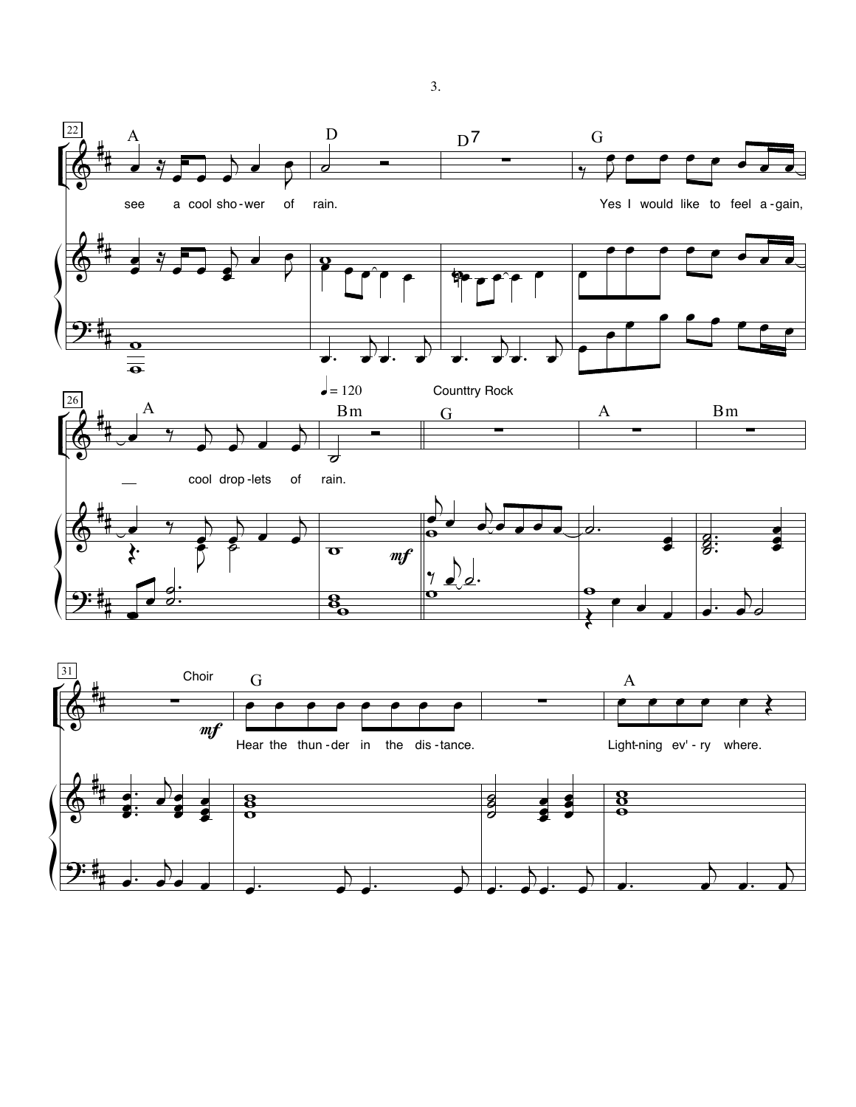



3.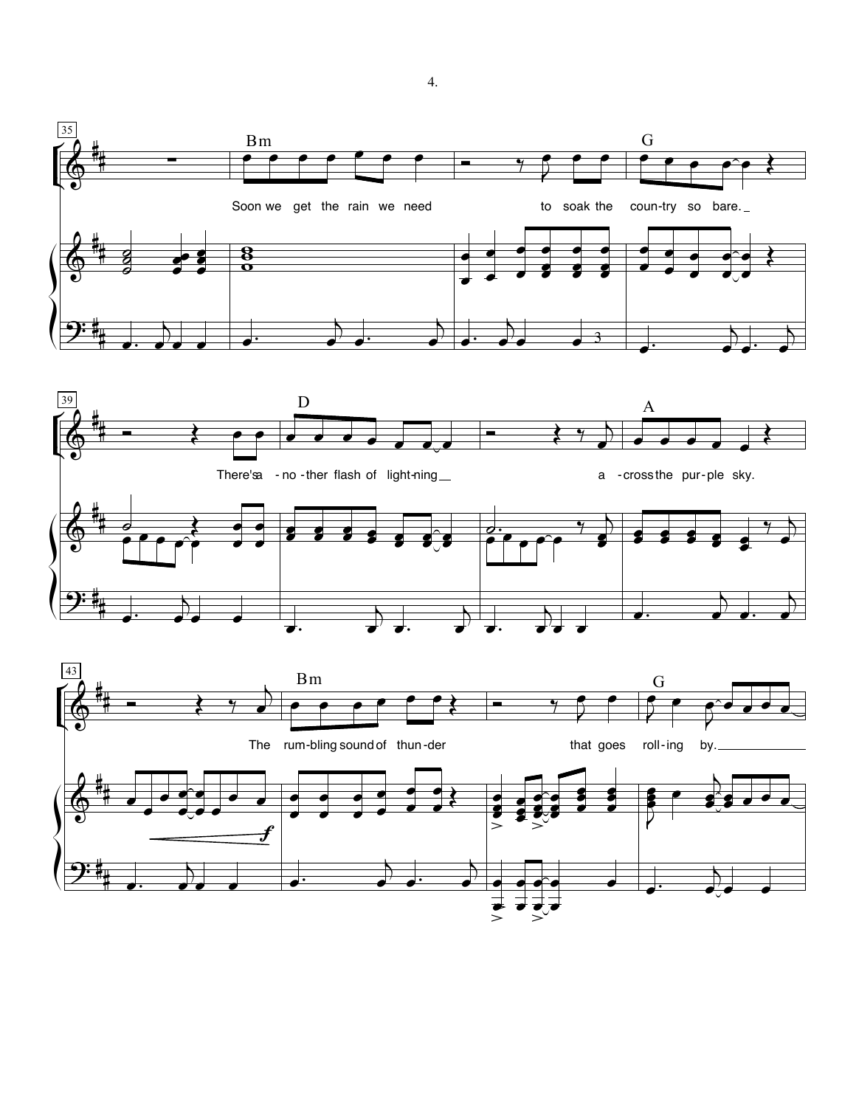



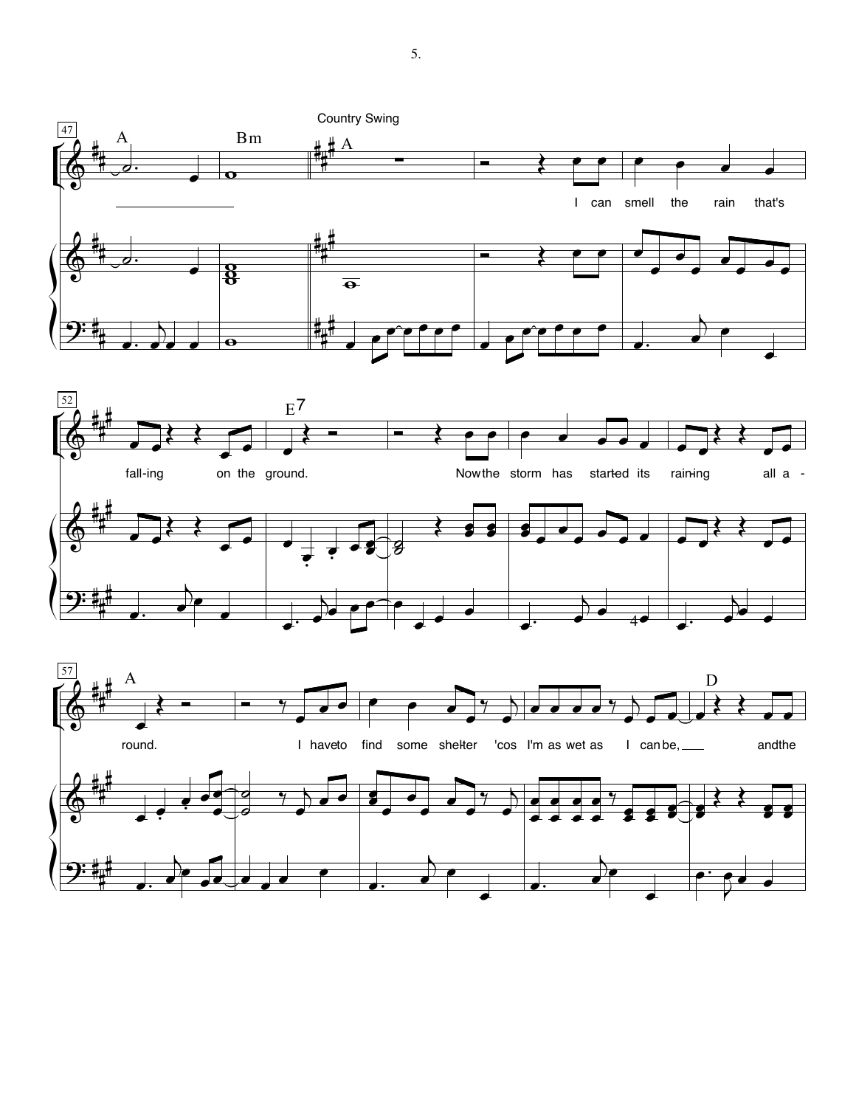





5.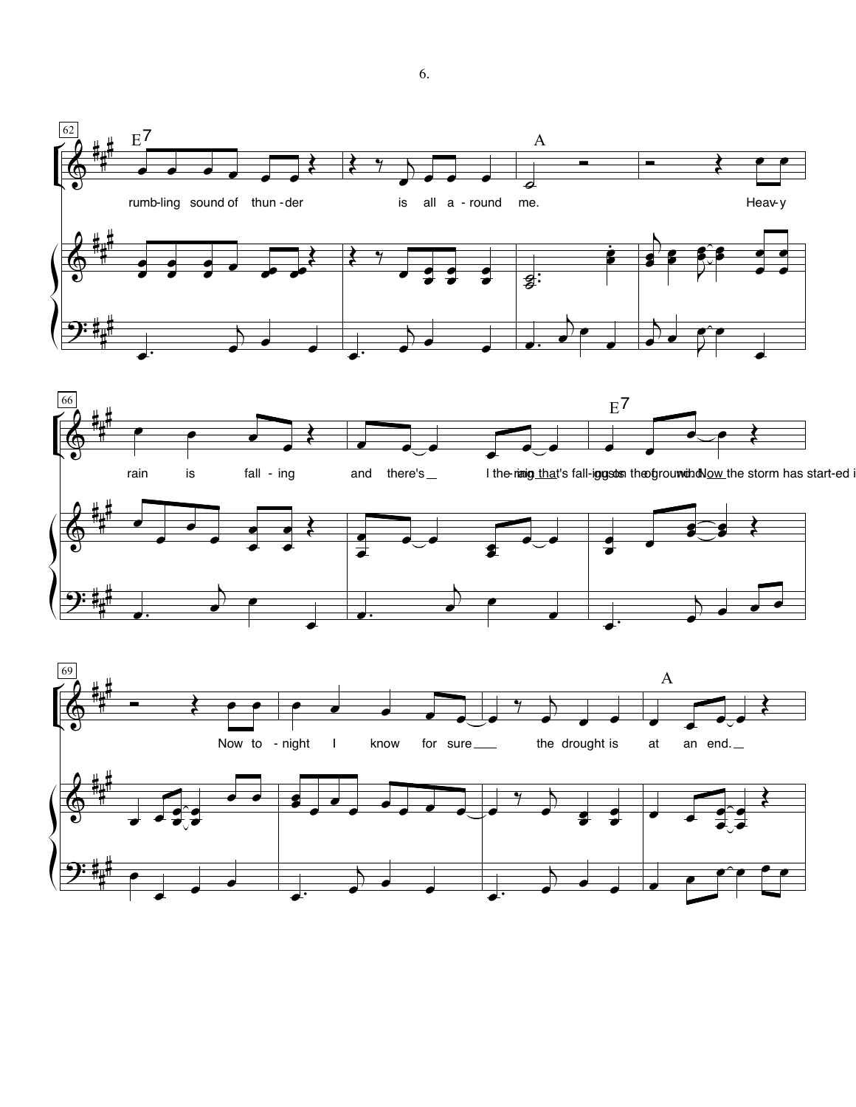



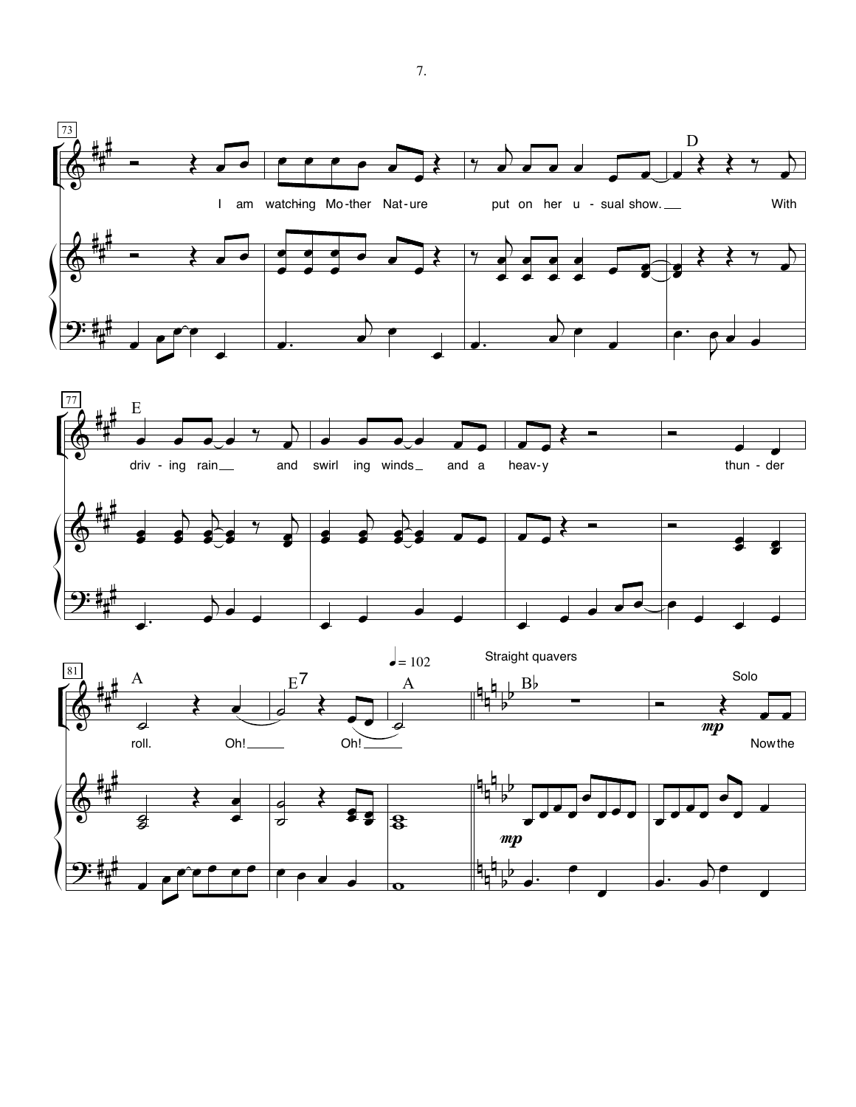



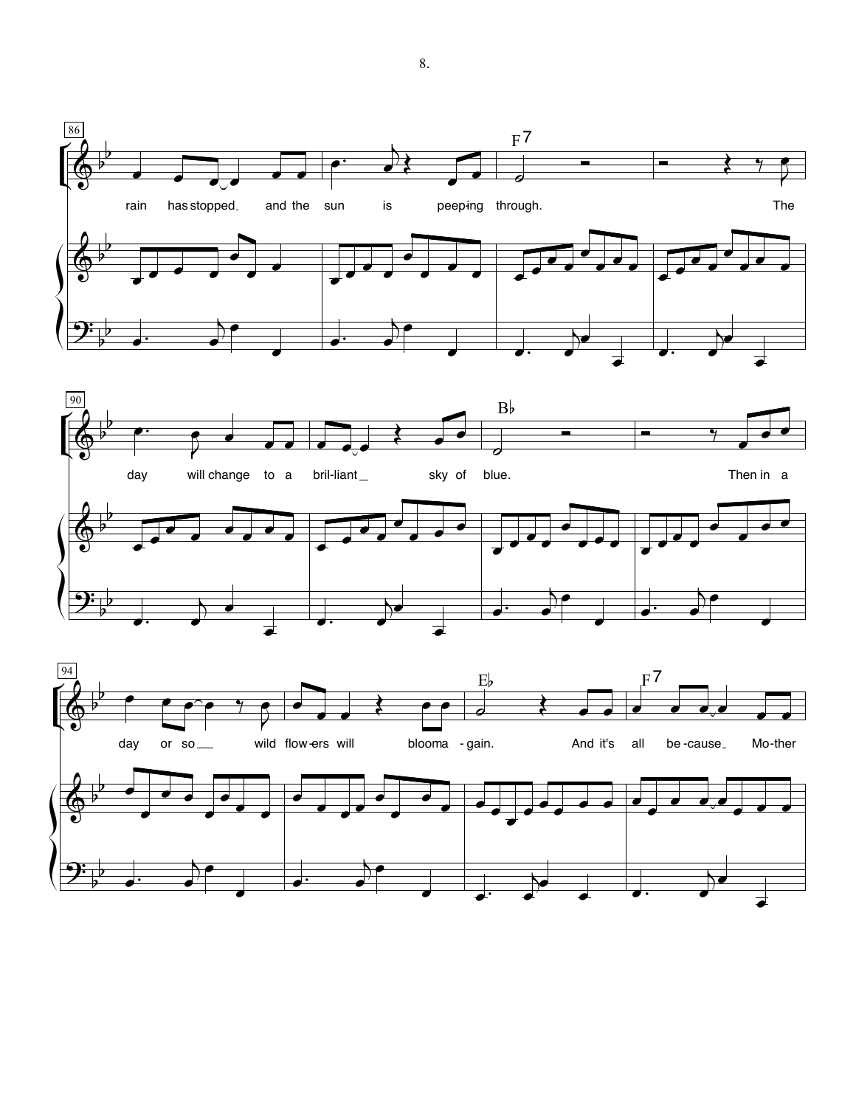



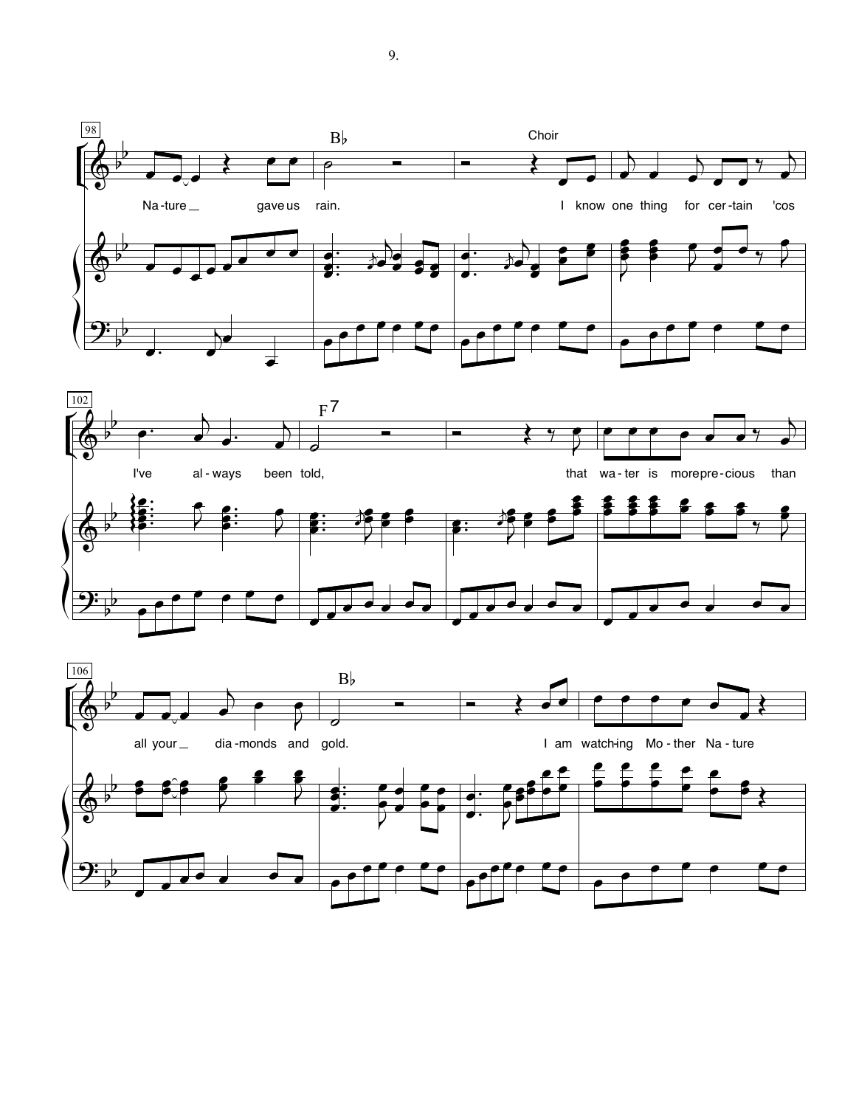